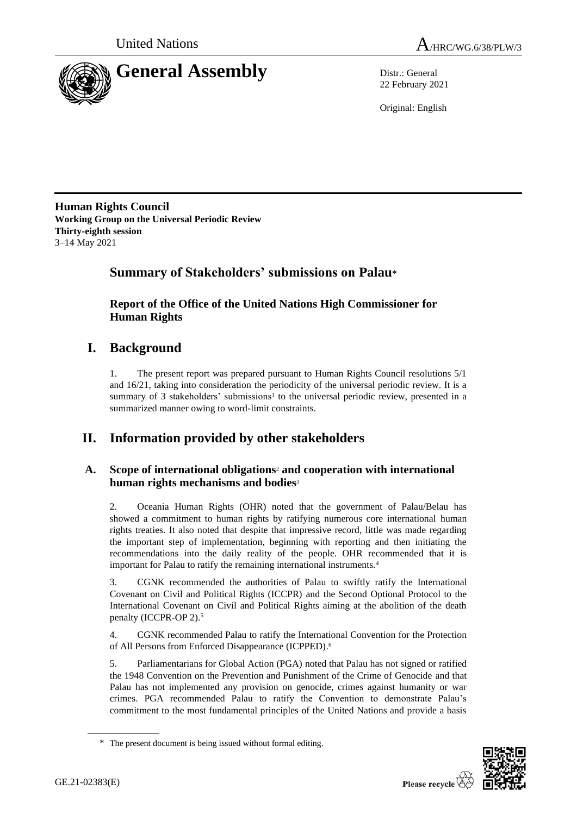



22 February 2021

Original: English

**Human Rights Council Working Group on the Universal Periodic Review Thirty-eighth session** 3–14 May 2021

## **Summary of Stakeholders' submissions on Palau**\*

**Report of the Office of the United Nations High Commissioner for Human Rights**

## **I. Background**

1. The present report was prepared pursuant to Human Rights Council resolutions 5/1 and 16/21, taking into consideration the periodicity of the universal periodic review. It is a summary of 3 stakeholders' submissions<sup>1</sup> to the universal periodic review, presented in a summarized manner owing to word-limit constraints.

# **II. Information provided by other stakeholders**

### **A. Scope of international obligations**<sup>2</sup> **and cooperation with international human rights mechanisms and bodies**<sup>3</sup>

2. Oceania Human Rights (OHR) noted that the government of Palau/Belau has showed a commitment to human rights by ratifying numerous core international human rights treaties. It also noted that despite that impressive record, little was made regarding the important step of implementation, beginning with reporting and then initiating the recommendations into the daily reality of the people. OHR recommended that it is important for Palau to ratify the remaining international instruments.<sup>4</sup>

3. CGNK recommended the authorities of Palau to swiftly ratify the International Covenant on Civil and Political Rights (ICCPR) and the Second Optional Protocol to the International Covenant on Civil and Political Rights aiming at the abolition of the death penalty (ICCPR-OP 2). 5

4. CGNK recommended Palau to ratify the International Convention for the Protection of All Persons from Enforced Disappearance (ICPPED). 6

5. Parliamentarians for Global Action (PGA) noted that Palau has not signed or ratified the 1948 Convention on the Prevention and Punishment of the Crime of Genocide and that Palau has not implemented any provision on genocide, crimes against humanity or war crimes. PGA recommended Palau to ratify the Convention to demonstrate Palau's commitment to the most fundamental principles of the United Nations and provide a basis



<sup>\*</sup> The present document is being issued without formal editing.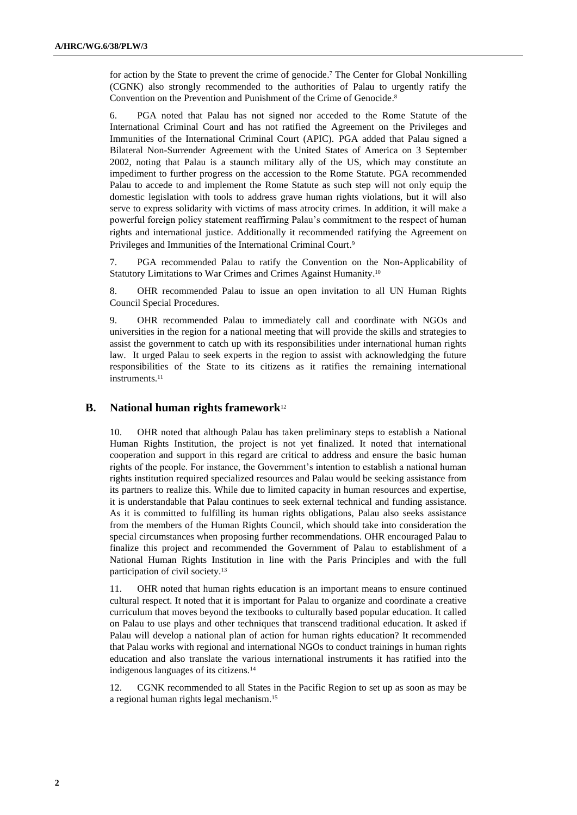for action by the State to prevent the crime of genocide. <sup>7</sup> The Center for Global Nonkilling (CGNK) also strongly recommended to the authorities of Palau to urgently ratify the Convention on the Prevention and Punishment of the Crime of Genocide. 8

6. PGA noted that Palau has not signed nor acceded to the Rome Statute of the International Criminal Court and has not ratified the Agreement on the Privileges and Immunities of the International Criminal Court (APIC). PGA added that Palau signed a Bilateral Non-Surrender Agreement with the United States of America on 3 September 2002, noting that Palau is a staunch military ally of the US, which may constitute an impediment to further progress on the accession to the Rome Statute. PGA recommended Palau to accede to and implement the Rome Statute as such step will not only equip the domestic legislation with tools to address grave human rights violations, but it will also serve to express solidarity with victims of mass atrocity crimes. In addition, it will make a powerful foreign policy statement reaffirming Palau's commitment to the respect of human rights and international justice. Additionally it recommended ratifying the Agreement on Privileges and Immunities of the International Criminal Court.<sup>9</sup>

7. PGA recommended Palau to ratify the Convention on the Non-Applicability of Statutory Limitations to War Crimes and Crimes Against Humanity.<sup>10</sup>

8. OHR recommended Palau to issue an open invitation to all UN Human Rights Council Special Procedures.

9. OHR recommended Palau to immediately call and coordinate with NGOs and universities in the region for a national meeting that will provide the skills and strategies to assist the government to catch up with its responsibilities under international human rights law. It urged Palau to seek experts in the region to assist with acknowledging the future responsibilities of the State to its citizens as it ratifies the remaining international instruments.<sup>11</sup>

### **B. National human rights framework**<sup>12</sup>

10. OHR noted that although Palau has taken preliminary steps to establish a National Human Rights Institution, the project is not yet finalized. It noted that international cooperation and support in this regard are critical to address and ensure the basic human rights of the people. For instance, the Government's intention to establish a national human rights institution required specialized resources and Palau would be seeking assistance from its partners to realize this. While due to limited capacity in human resources and expertise, it is understandable that Palau continues to seek external technical and funding assistance. As it is committed to fulfilling its human rights obligations, Palau also seeks assistance from the members of the Human Rights Council, which should take into consideration the special circumstances when proposing further recommendations. OHR encouraged Palau to finalize this project and recommended the Government of Palau to establishment of a National Human Rights Institution in line with the Paris Principles and with the full participation of civil society.<sup>13</sup>

11. OHR noted that human rights education is an important means to ensure continued cultural respect. It noted that it is important for Palau to organize and coordinate a creative curriculum that moves beyond the textbooks to culturally based popular education. It called on Palau to use plays and other techniques that transcend traditional education. It asked if Palau will develop a national plan of action for human rights education? It recommended that Palau works with regional and international NGOs to conduct trainings in human rights education and also translate the various international instruments it has ratified into the indigenous languages of its citizens.<sup>14</sup>

CGNK recommended to all States in the Pacific Region to set up as soon as may be a regional human rights legal mechanism.15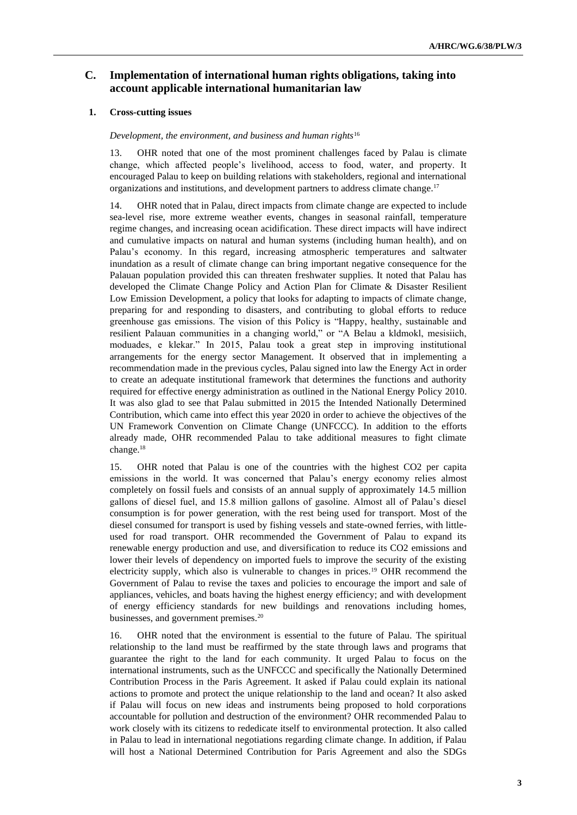### **C. Implementation of international human rights obligations, taking into account applicable international humanitarian law**

#### **1. Cross-cutting issues**

#### *Development, the environment, and business and human rights*<sup>16</sup>

13. OHR noted that one of the most prominent challenges faced by Palau is climate change, which affected people's livelihood, access to food, water, and property. It encouraged Palau to keep on building relations with stakeholders, regional and international organizations and institutions, and development partners to address climate change.<sup>17</sup>

14. OHR noted that in Palau, direct impacts from climate change are expected to include sea-level rise, more extreme weather events, changes in seasonal rainfall, temperature regime changes, and increasing ocean acidification. These direct impacts will have indirect and cumulative impacts on natural and human systems (including human health), and on Palau's economy. In this regard, increasing atmospheric temperatures and saltwater inundation as a result of climate change can bring important negative consequence for the Palauan population provided this can threaten freshwater supplies. It noted that Palau has developed the Climate Change Policy and Action Plan for Climate & Disaster Resilient Low Emission Development, a policy that looks for adapting to impacts of climate change, preparing for and responding to disasters, and contributing to global efforts to reduce greenhouse gas emissions. The vision of this Policy is "Happy, healthy, sustainable and resilient Palauan communities in a changing world," or "A Belau a kldmokl, mesisiich, moduades, e klekar." In 2015, Palau took a great step in improving institutional arrangements for the energy sector Management. It observed that in implementing a recommendation made in the previous cycles, Palau signed into law the Energy Act in order to create an adequate institutional framework that determines the functions and authority required for effective energy administration as outlined in the National Energy Policy 2010. It was also glad to see that Palau submitted in 2015 the Intended Nationally Determined Contribution, which came into effect this year 2020 in order to achieve the objectives of the UN Framework Convention on Climate Change (UNFCCC). In addition to the efforts already made, OHR recommended Palau to take additional measures to fight climate change.<sup>18</sup>

15. OHR noted that Palau is one of the countries with the highest CO2 per capita emissions in the world. It was concerned that Palau's energy economy relies almost completely on fossil fuels and consists of an annual supply of approximately 14.5 million gallons of diesel fuel, and 15.8 million gallons of gasoline. Almost all of Palau's diesel consumption is for power generation, with the rest being used for transport. Most of the diesel consumed for transport is used by fishing vessels and state-owned ferries, with littleused for road transport. OHR recommended the Government of Palau to expand its renewable energy production and use, and diversification to reduce its CO2 emissions and lower their levels of dependency on imported fuels to improve the security of the existing electricity supply, which also is vulnerable to changes in prices.<sup>19</sup> OHR recommend the Government of Palau to revise the taxes and policies to encourage the import and sale of appliances, vehicles, and boats having the highest energy efficiency; and with development of energy efficiency standards for new buildings and renovations including homes, businesses, and government premises.<sup>20</sup>

16. OHR noted that the environment is essential to the future of Palau. The spiritual relationship to the land must be reaffirmed by the state through laws and programs that guarantee the right to the land for each community. It urged Palau to focus on the international instruments, such as the UNFCCC and specifically the Nationally Determined Contribution Process in the Paris Agreement. It asked if Palau could explain its national actions to promote and protect the unique relationship to the land and ocean? It also asked if Palau will focus on new ideas and instruments being proposed to hold corporations accountable for pollution and destruction of the environment? OHR recommended Palau to work closely with its citizens to rededicate itself to environmental protection. It also called in Palau to lead in international negotiations regarding climate change. In addition, if Palau will host a National Determined Contribution for Paris Agreement and also the SDGs